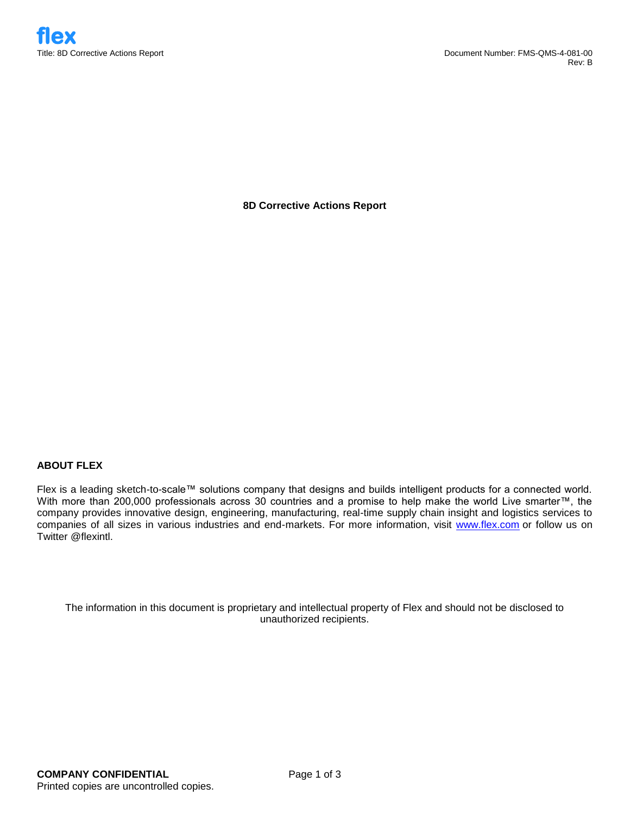**8D Corrective Actions Report**

## **ABOUT FLEX**

Flex is a leading sketch-to-scale™ solutions company that designs and builds intelligent products for a connected world. With more than 200,000 professionals across 30 countries and a promise to help make the world Live smarter™, the company provides innovative design, engineering, manufacturing, real-time supply chain insight and logistics services to companies of all sizes in various industries and end-markets. For more information, visit www.flex.com or follow us on Twitter @flexintl.

The information in this document is proprietary and intellectual property of Flex and should not be disclosed to unauthorized recipients.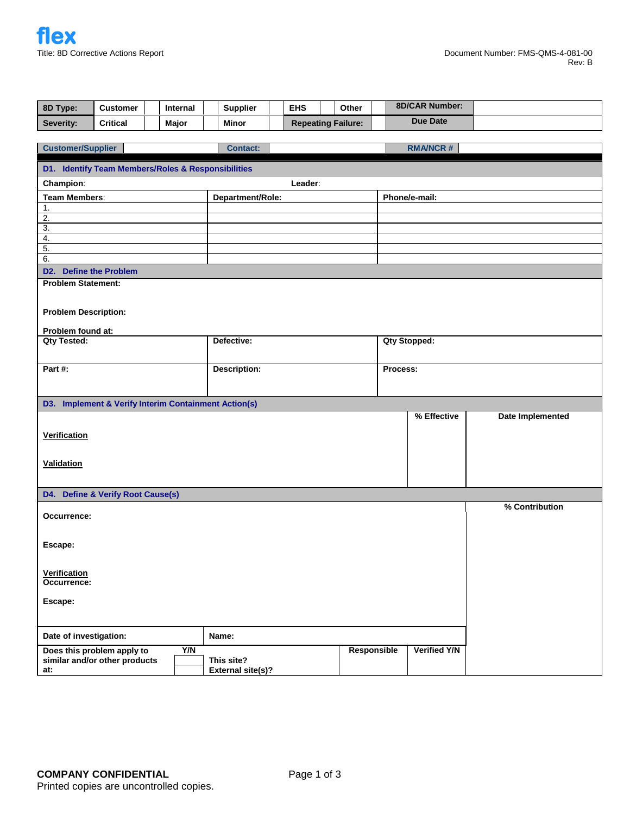| 8D Type:                                                    | <b>Customer</b>                                                |  | Internal   |       | <b>Supplier</b>          |  | <b>EHS</b> |  | Other                     |                     | 8D/CAR Number:  |                  |  |
|-------------------------------------------------------------|----------------------------------------------------------------|--|------------|-------|--------------------------|--|------------|--|---------------------------|---------------------|-----------------|------------------|--|
| Severity:                                                   | <b>Critical</b>                                                |  | Major      |       | <b>Minor</b>             |  |            |  | <b>Repeating Failure:</b> |                     | <b>Due Date</b> |                  |  |
|                                                             |                                                                |  |            |       |                          |  |            |  |                           |                     |                 |                  |  |
|                                                             | <b>Customer/Supplier</b><br><b>RMA/NCR#</b><br><b>Contact:</b> |  |            |       |                          |  |            |  |                           |                     |                 |                  |  |
| D1. Identify Team Members/Roles & Responsibilities          |                                                                |  |            |       |                          |  |            |  |                           |                     |                 |                  |  |
| Champion:                                                   |                                                                |  |            |       |                          |  | Leader:    |  |                           |                     |                 |                  |  |
| <b>Team Members:</b>                                        |                                                                |  |            |       | Department/Role:         |  |            |  |                           | Phone/e-mail:       |                 |                  |  |
| $\mathbf{1}$ .<br>$\overline{2}$ .                          |                                                                |  |            |       |                          |  |            |  |                           |                     |                 |                  |  |
| $\overline{3}$ .                                            |                                                                |  |            |       |                          |  |            |  |                           |                     |                 |                  |  |
| 4.                                                          |                                                                |  |            |       |                          |  |            |  |                           |                     |                 |                  |  |
| 5.<br>6.                                                    |                                                                |  |            |       |                          |  |            |  |                           |                     |                 |                  |  |
| D2. Define the Problem                                      |                                                                |  |            |       |                          |  |            |  |                           |                     |                 |                  |  |
| <b>Problem Statement:</b>                                   |                                                                |  |            |       |                          |  |            |  |                           |                     |                 |                  |  |
|                                                             |                                                                |  |            |       |                          |  |            |  |                           |                     |                 |                  |  |
| <b>Problem Description:</b>                                 |                                                                |  |            |       |                          |  |            |  |                           |                     |                 |                  |  |
| Problem found at:                                           |                                                                |  |            |       |                          |  |            |  |                           |                     |                 |                  |  |
| <b>Qty Tested:</b>                                          |                                                                |  |            |       | Defective:               |  |            |  |                           | <b>Qty Stopped:</b> |                 |                  |  |
|                                                             |                                                                |  |            |       |                          |  |            |  |                           |                     |                 |                  |  |
| Part #:                                                     |                                                                |  |            |       | <b>Description:</b>      |  |            |  |                           | Process:            |                 |                  |  |
|                                                             |                                                                |  |            |       |                          |  |            |  |                           |                     |                 |                  |  |
|                                                             |                                                                |  |            |       |                          |  |            |  |                           |                     |                 |                  |  |
| D3. Implement & Verify Interim Containment Action(s)        |                                                                |  |            |       |                          |  |            |  |                           |                     | % Effective     | Date Implemented |  |
|                                                             |                                                                |  |            |       |                          |  |            |  |                           |                     |                 |                  |  |
| Verification                                                |                                                                |  |            |       |                          |  |            |  |                           |                     |                 |                  |  |
|                                                             |                                                                |  |            |       |                          |  |            |  |                           |                     |                 |                  |  |
| <b>Validation</b>                                           |                                                                |  |            |       |                          |  |            |  |                           |                     |                 |                  |  |
|                                                             |                                                                |  |            |       |                          |  |            |  |                           |                     |                 |                  |  |
| D4. Define & Verify Root Cause(s)                           |                                                                |  |            |       |                          |  |            |  |                           |                     |                 |                  |  |
| Occurrence:                                                 |                                                                |  |            |       |                          |  |            |  |                           |                     |                 | % Contribution   |  |
|                                                             |                                                                |  |            |       |                          |  |            |  |                           |                     |                 |                  |  |
| Escape:                                                     |                                                                |  |            |       |                          |  |            |  |                           |                     |                 |                  |  |
|                                                             |                                                                |  |            |       |                          |  |            |  |                           |                     |                 |                  |  |
| <b>Verification</b>                                         |                                                                |  |            |       |                          |  |            |  |                           |                     |                 |                  |  |
| Occurrence:                                                 |                                                                |  |            |       |                          |  |            |  |                           |                     |                 |                  |  |
| Escape:                                                     |                                                                |  |            |       |                          |  |            |  |                           |                     |                 |                  |  |
|                                                             |                                                                |  |            |       |                          |  |            |  |                           |                     |                 |                  |  |
|                                                             |                                                                |  |            |       |                          |  |            |  |                           |                     |                 |                  |  |
| Date of investigation:                                      |                                                                |  |            | Name: |                          |  |            |  |                           |                     |                 |                  |  |
| Does this problem apply to<br>similar and/or other products |                                                                |  | <b>Y/N</b> |       | This site?               |  |            |  | Responsible               |                     | Verified Y/N    |                  |  |
| at:                                                         |                                                                |  |            |       | <b>External site(s)?</b> |  |            |  |                           |                     |                 |                  |  |